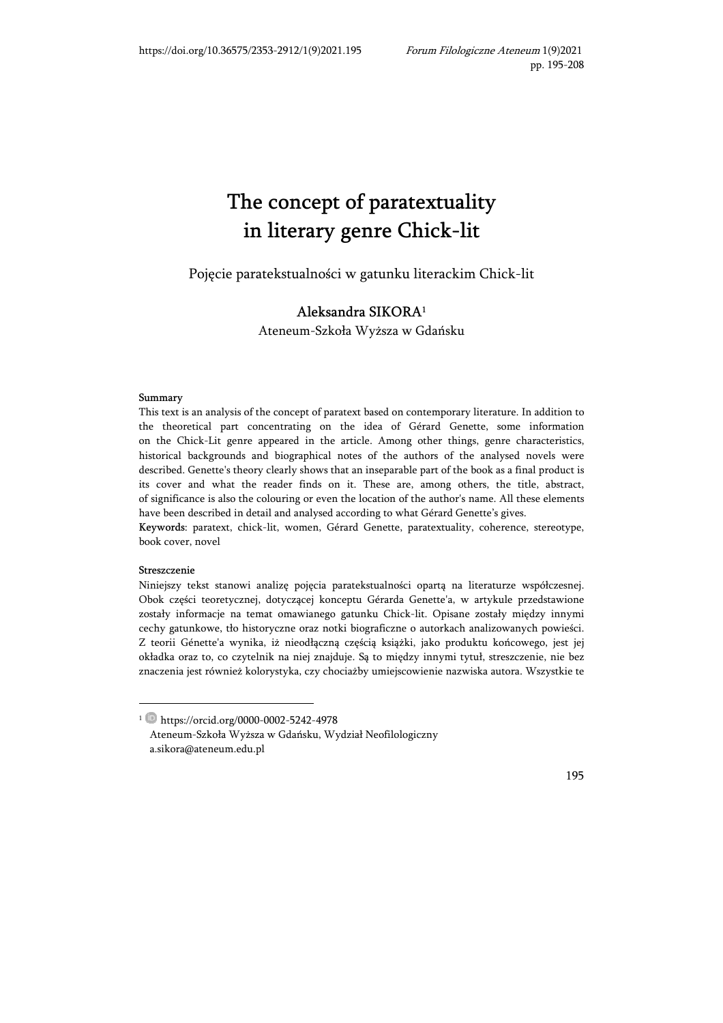# $\frac{1}{T}$  $\cdots$  are  $\cdots$  genre Chick-lit

Pojęcie paratekstualności w gatunku literackim Chick-lit

## Aleksandra SIKORA<sup>1</sup>

Ateneum-Szkoła Wyższa w Gdańsku

#### Summary

This text is an analysis of the concept of paratext based on contemporary literature. In addition to the theoretical part concentrating on the idea of Gérard Genette, some information on the Chick-Lit genre appeared in the article. Among other things, genre characteristics, historical backgrounds and biographical notes of the authors of the analysed novels were described. Genette's theory clearly shows that an inseparable part of the book as a final product is its cover and what the reader finds on it. These are, among others, the title, abstract, of significance is also the colouring or even the location of the author's name. All these elements have been described in detail and analysed according to what Gérard Genette's gives.

Keywords: paratext, chick-lit, women, Gérard Genette, paratextuality, coherence, stereotype, book cover, novel

#### Streszczenie

-

Niniejszy tekst stanowi analizę pojęcia paratekstualności opartą na literaturze współczesnej. Obok części teoretycznej, dotyczącej konceptu Gérarda Genette'a, w artykule przedstawione zostały informacje na temat omawianego gatunku Chick-lit. Opisane zostały między innymi cechy gatunkowe, tło historyczne oraz notki biograficzne o autorkach analizowanych powieści. Z teorii Génette'a wynika, iż nieodłączną częścią książki, jako produktu końcowego, jest jej okładka oraz to, co czytelnik na niej znajduje. Są to między innymi tytuł, streszczenie, nie bez znaczenia jest również kolorystyka, czy chociażby umiejscowienie nazwiska autora. Wszystkie te

<sup>1</sup> https://orcid.org/0000-0002-5242-4978 Ateneum-Szkoła Wyższa w Gdańsku, Wydział Neofilologiczny a.sikora@ateneum.edu.pl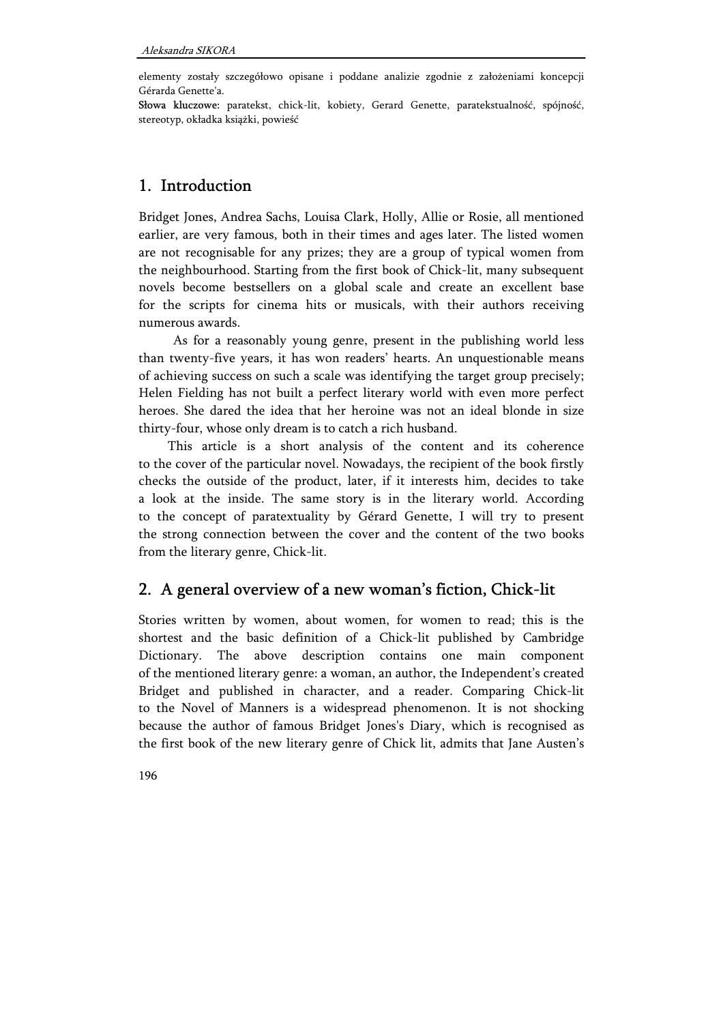elementy zostały szczegółowo opisane i poddane analizie zgodnie z założeniami koncepcji Gérarda Genette'a.

Słowa kluczowe: paratekst, chick-lit, kobiety, Gerard Genette, paratekstualność, spójność, stereotyp, okładka książki, powieść

# 1. Introduction

Bridget Jones, Andrea Sachs, Louisa Clark, Holly, Allie or Rosie, all mentioned earlier, are very famous, both in their times and ages later. The listed women are not recognisable for any prizes; they are a group of typical women from the neighbourhood. Starting from the first book of Chick-lit, many subsequent novels become bestsellers on a global scale and create an excellent base for the scripts for cinema hits or musicals, with their authors receiving numerous awards.

As for a reasonably young genre, present in the publishing world less than twenty-five years, it has won readers' hearts. An unquestionable means of achieving success on such a scale was identifying the target group precisely; Helen Fielding has not built a perfect literary world with even more perfect heroes. She dared the idea that her heroine was not an ideal blonde in size thirty-four, whose only dream is to catch a rich husband.

This article is a short analysis of the content and its coherence to the cover of the particular novel. Nowadays, the recipient of the book firstly checks the outside of the product, later, if it interests him, decides to take a look at the inside. The same story is in the literary world. According to the concept of paratextuality by Gérard Genette, I will try to present the strong connection between the cover and the content of the two books from the literary genre, Chick-lit.

# 2. A general overview of a new woman's fiction, Chick-lit

Stories written by women, about women, for women to read; this is the shortest and the basic definition of a Chick-lit published by Cambridge Dictionary. The above description contains one main component of the mentioned literary genre: a woman, an author, the Independent's created Bridget and published in character, and a reader. Comparing Chick-lit to the Novel of Manners is a widespread phenomenon. It is not shocking because the author of famous Bridget Jones's Diary, which is recognised as the first book of the new literary genre of Chick lit, admits that Jane Austen's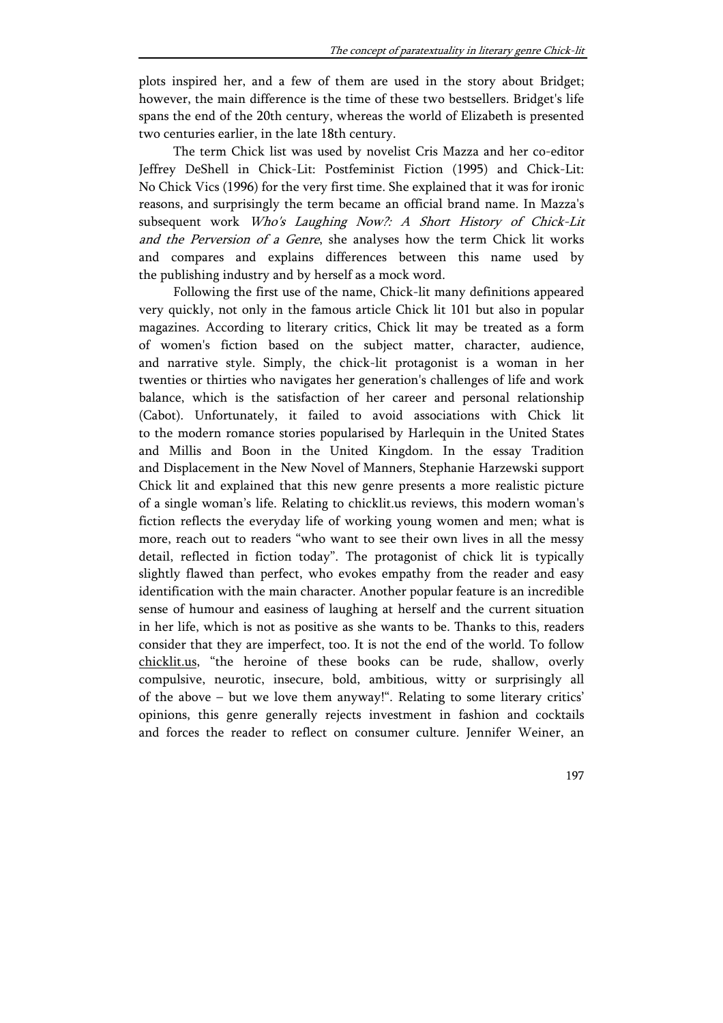plots inspired her, and a few of them are used in the story about Bridget; however, the main difference is the time of these two bestsellers. Bridget's life spans the end of the 20th century, whereas the world of Elizabeth is presented two centuries earlier, in the late 18th century.

The term Chick list was used by novelist Cris Mazza and her co-editor Jeffrey DeShell in Chick-Lit: Postfeminist Fiction (1995) and Chick-Lit: No Chick Vics (1996) for the very first time. She explained that it was for ironic reasons, and surprisingly the term became an official brand name. In Mazza's subsequent work Who's Laughing Now?: A Short History of Chick-Lit and the Perversion of a Genre, she analyses how the term Chick lit works and compares and explains differences between this name used by the publishing industry and by herself as a mock word.

Following the first use of the name, Chick-lit many definitions appeared very quickly, not only in the famous article Chick lit 101 but also in popular magazines. According to literary critics, Chick lit may be treated as a form of women's fiction based on the subject matter, character, audience, and narrative style. Simply, the chick-lit protagonist is a woman in her twenties or thirties who navigates her generation's challenges of life and work balance, which is the satisfaction of her career and personal relationship (Cabot). Unfortunately, it failed to avoid associations with Chick lit to the modern romance stories popularised by Harlequin in the United States and Millis and Boon in the United Kingdom. In the essay Tradition and Displacement in the New Novel of Manners, Stephanie Harzewski support Chick lit and explained that this new genre presents a more realistic picture of a single woman's life. Relating to chicklit.us reviews, this modern woman's fiction reflects the everyday life of working young women and men; what is more, reach out to readers "who want to see their own lives in all the messy detail, reflected in fiction today". The protagonist of chick lit is typically slightly flawed than perfect, who evokes empathy from the reader and easy identification with the main character. Another popular feature is an incredible sense of humour and easiness of laughing at herself and the current situation in her life, which is not as positive as she wants to be. Thanks to this, readers consider that they are imperfect, too. It is not the end of the world. To follow chicklit.us, "the heroine of these books can be rude, shallow, overly compulsive, neurotic, insecure, bold, ambitious, witty or surprisingly all of the above – but we love them anyway!". Relating to some literary critics' opinions, this genre generally rejects investment in fashion and cocktails and forces the reader to reflect on consumer culture. Jennifer Weiner, an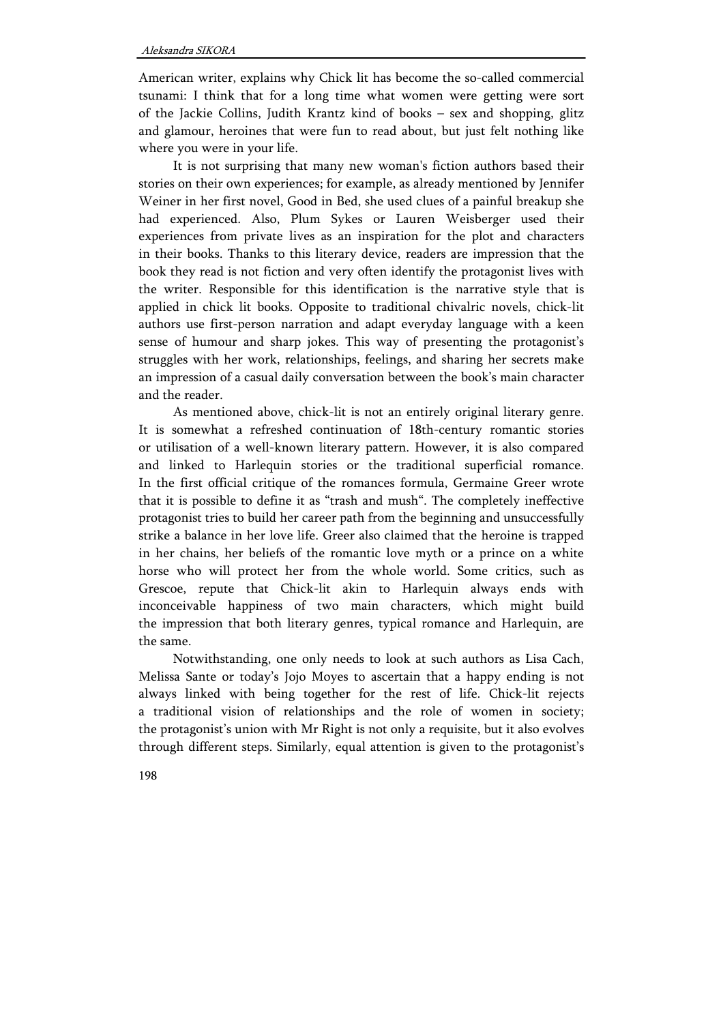American writer, explains why Chick lit has become the so-called commercial tsunami: I think that for a long time what women were getting were sort of the Jackie Collins, Judith Krantz kind of books – sex and shopping, glitz and glamour, heroines that were fun to read about, but just felt nothing like where you were in your life.

It is not surprising that many new woman's fiction authors based their stories on their own experiences; for example, as already mentioned by Jennifer Weiner in her first novel, Good in Bed, she used clues of a painful breakup she had experienced. Also, Plum Sykes or Lauren Weisberger used their experiences from private lives as an inspiration for the plot and characters in their books. Thanks to this literary device, readers are impression that the book they read is not fiction and very often identify the protagonist lives with the writer. Responsible for this identification is the narrative style that is applied in chick lit books. Opposite to traditional chivalric novels, chick-lit authors use first-person narration and adapt everyday language with a keen sense of humour and sharp jokes. This way of presenting the protagonist's struggles with her work, relationships, feelings, and sharing her secrets make an impression of a casual daily conversation between the book's main character and the reader.

As mentioned above, chick-lit is not an entirely original literary genre. It is somewhat a refreshed continuation of 18th-century romantic stories or utilisation of a well-known literary pattern. However, it is also compared and linked to Harlequin stories or the traditional superficial romance. In the first official critique of the romances formula, Germaine Greer wrote that it is possible to define it as "trash and mush". The completely ineffective protagonist tries to build her career path from the beginning and unsuccessfully strike a balance in her love life. Greer also claimed that the heroine is trapped in her chains, her beliefs of the romantic love myth or a prince on a white horse who will protect her from the whole world. Some critics, such as Grescoe, repute that Chick-lit akin to Harlequin always ends with inconceivable happiness of two main characters, which might build the impression that both literary genres, typical romance and Harlequin, are the same.

Notwithstanding, one only needs to look at such authors as Lisa Cach, Melissa Sante or today's Jojo Moyes to ascertain that a happy ending is not always linked with being together for the rest of life. Chick-lit rejects a traditional vision of relationships and the role of women in society; the protagonist's union with Mr Right is not only a requisite, but it also evolves through different steps. Similarly, equal attention is given to the protagonist's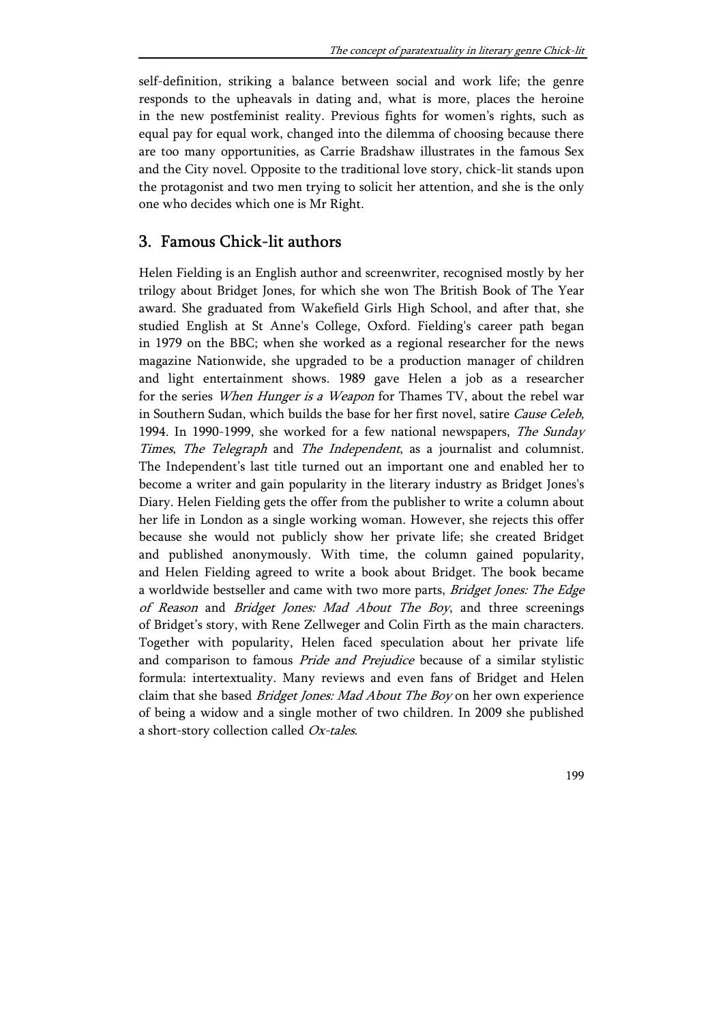self-definition, striking a balance between social and work life; the genre responds to the upheavals in dating and, what is more, places the heroine in the new postfeminist reality. Previous fights for women's rights, such as equal pay for equal work, changed into the dilemma of choosing because there are too many opportunities, as Carrie Bradshaw illustrates in the famous Sex and the City novel. Opposite to the traditional love story, chick-lit stands upon the protagonist and two men trying to solicit her attention, and she is the only one who decides which one is Mr Right.

# 3. Famous Chick-lit authors

Helen Fielding is an English author and screenwriter, recognised mostly by her trilogy about Bridget Jones, for which she won The British Book of The Year award. She graduated from Wakefield Girls High School, and after that, she studied English at St Anne's College, Oxford. Fielding's career path began in 1979 on the BBC; when she worked as a regional researcher for the news magazine Nationwide, she upgraded to be a production manager of children and light entertainment shows. 1989 gave Helen a job as a researcher for the series When Hunger is a Weapon for Thames TV, about the rebel war in Southern Sudan, which builds the base for her first novel, satire Cause Celeb, 1994. In 1990-1999, she worked for a few national newspapers, The Sunday Times, The Telegraph and The Independent, as a journalist and columnist. The Independent's last title turned out an important one and enabled her to become a writer and gain popularity in the literary industry as Bridget Jones's Diary. Helen Fielding gets the offer from the publisher to write a column about her life in London as a single working woman. However, she rejects this offer because she would not publicly show her private life; she created Bridget and published anonymously. With time, the column gained popularity, and Helen Fielding agreed to write a book about Bridget. The book became a worldwide bestseller and came with two more parts, Bridget Jones: The Edge of Reason and Bridget Jones: Mad About The Boy, and three screenings of Bridget's story, with Rene Zellweger and Colin Firth as the main characters. Together with popularity, Helen faced speculation about her private life and comparison to famous *Pride and Prejudice* because of a similar stylistic formula: intertextuality. Many reviews and even fans of Bridget and Helen claim that she based *Bridget Jones: Mad About The Boy* on her own experience of being a widow and a single mother of two children. In 2009 she published a short-story collection called Ox-tales.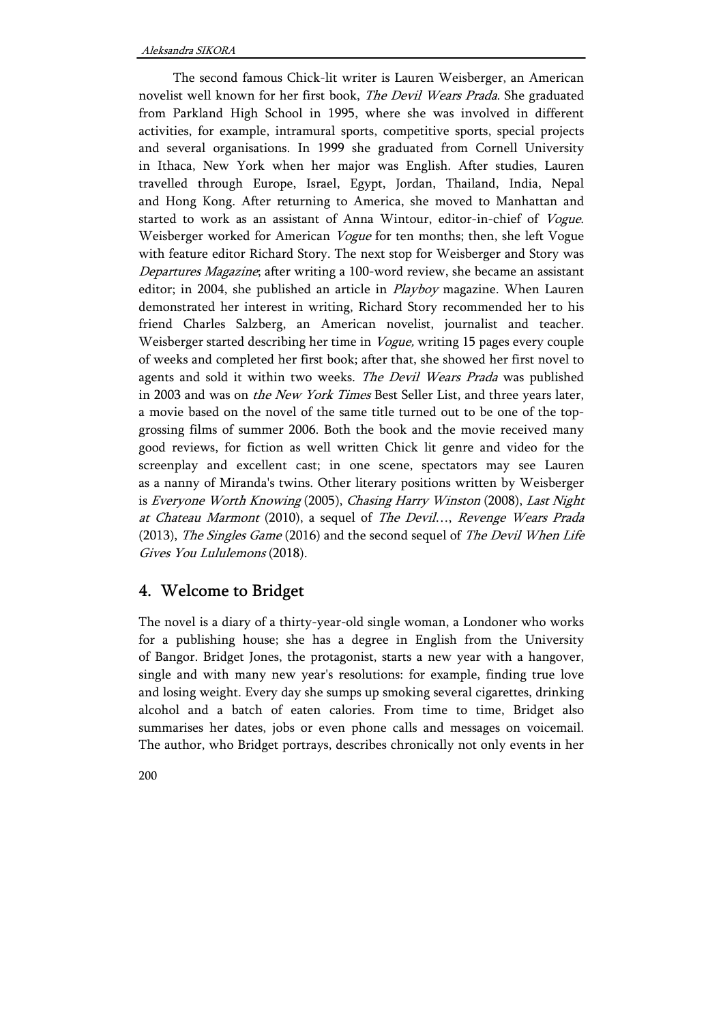The second famous Chick-lit writer is Lauren Weisberger, an American novelist well known for her first book, The Devil Wears Prada. She graduated from Parkland High School in 1995, where she was involved in different activities, for example, intramural sports, competitive sports, special projects and several organisations. In 1999 she graduated from Cornell University in Ithaca, New York when her major was English. After studies, Lauren travelled through Europe, Israel, Egypt, Jordan, Thailand, India, Nepal and Hong Kong. After returning to America, she moved to Manhattan and started to work as an assistant of Anna Wintour, editor-in-chief of Vogue. Weisberger worked for American Vogue for ten months; then, she left Vogue with feature editor Richard Story. The next stop for Weisberger and Story was Departures Magazine; after writing a 100-word review, she became an assistant editor; in 2004, she published an article in *Playboy* magazine. When Lauren demonstrated her interest in writing, Richard Story recommended her to his friend Charles Salzberg, an American novelist, journalist and teacher. Weisberger started describing her time in Vogue, writing 15 pages every couple of weeks and completed her first book; after that, she showed her first novel to agents and sold it within two weeks. The Devil Wears Prada was published in 2003 and was on the New York Times Best Seller List, and three years later, a movie based on the novel of the same title turned out to be one of the topgrossing films of summer 2006. Both the book and the movie received many good reviews, for fiction as well written Chick lit genre and video for the screenplay and excellent cast; in one scene, spectators may see Lauren as a nanny of Miranda's twins. Other literary positions written by Weisberger is Everyone Worth Knowing (2005), Chasing Harry Winston (2008), Last Night at Chateau Marmont (2010), a sequel of The Devil…, Revenge Wears Prada (2013), *The Singles Game* (2016) and the second sequel of *The Devil When Life* Gives You Lululemons (2018).

# 4. Welcome to Bridget

The novel is a diary of a thirty-year-old single woman, a Londoner who works for a publishing house; she has a degree in English from the University of Bangor. Bridget Jones, the protagonist, starts a new year with a hangover, single and with many new year's resolutions: for example, finding true love and losing weight. Every day she sumps up smoking several cigarettes, drinking alcohol and a batch of eaten calories. From time to time, Bridget also summarises her dates, jobs or even phone calls and messages on voicemail. The author, who Bridget portrays, describes chronically not only events in her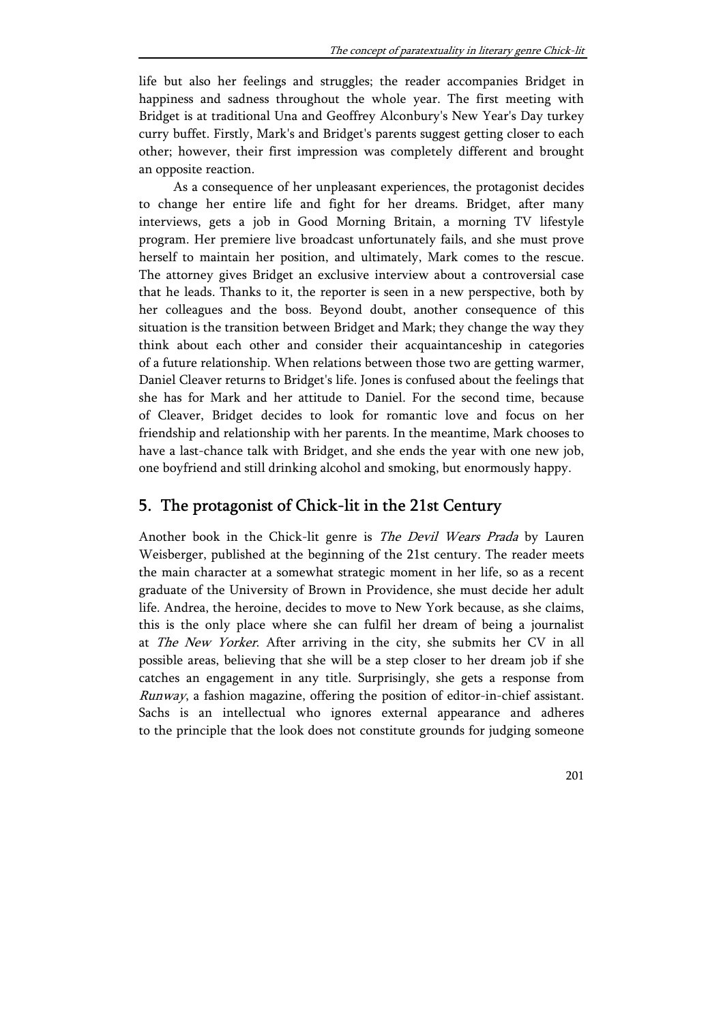life but also her feelings and struggles; the reader accompanies Bridget in happiness and sadness throughout the whole year. The first meeting with Bridget is at traditional Una and Geoffrey Alconbury's New Year's Day turkey curry buffet. Firstly, Mark's and Bridget's parents suggest getting closer to each other; however, their first impression was completely different and brought an opposite reaction.

As a consequence of her unpleasant experiences, the protagonist decides to change her entire life and fight for her dreams. Bridget, after many interviews, gets a job in Good Morning Britain, a morning TV lifestyle program. Her premiere live broadcast unfortunately fails, and she must prove herself to maintain her position, and ultimately, Mark comes to the rescue. The attorney gives Bridget an exclusive interview about a controversial case that he leads. Thanks to it, the reporter is seen in a new perspective, both by her colleagues and the boss. Beyond doubt, another consequence of this situation is the transition between Bridget and Mark; they change the way they think about each other and consider their acquaintanceship in categories of a future relationship. When relations between those two are getting warmer, Daniel Cleaver returns to Bridget's life. Jones is confused about the feelings that she has for Mark and her attitude to Daniel. For the second time, because of Cleaver, Bridget decides to look for romantic love and focus on her friendship and relationship with her parents. In the meantime, Mark chooses to have a last-chance talk with Bridget, and she ends the year with one new job, one boyfriend and still drinking alcohol and smoking, but enormously happy.

# 5. The protagonist of Chick-lit in the 21st Century

Another book in the Chick-lit genre is The Devil Wears Prada by Lauren Weisberger, published at the beginning of the 21st century. The reader meets the main character at a somewhat strategic moment in her life, so as a recent graduate of the University of Brown in Providence, she must decide her adult life. Andrea, the heroine, decides to move to New York because, as she claims, this is the only place where she can fulfil her dream of being a journalist at The New Yorker. After arriving in the city, she submits her CV in all possible areas, believing that she will be a step closer to her dream job if she catches an engagement in any title. Surprisingly, she gets a response from Runway, a fashion magazine, offering the position of editor-in-chief assistant. Sachs is an intellectual who ignores external appearance and adheres to the principle that the look does not constitute grounds for judging someone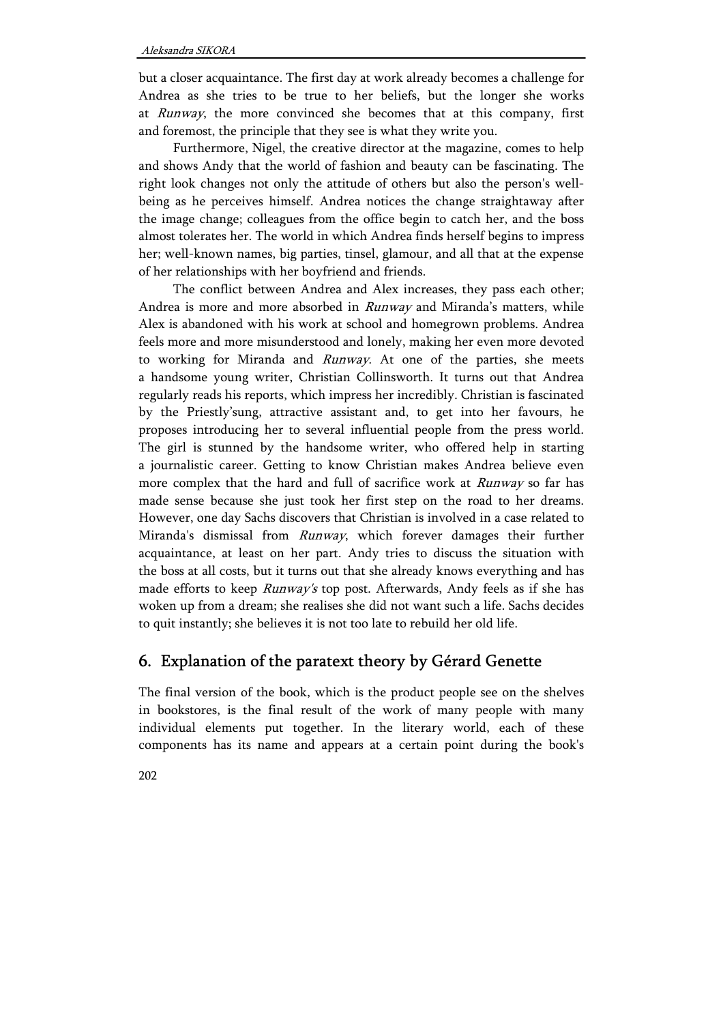but a closer acquaintance. The first day at work already becomes a challenge for Andrea as she tries to be true to her beliefs, but the longer she works at Runway, the more convinced she becomes that at this company, first and foremost, the principle that they see is what they write you.

Furthermore, Nigel, the creative director at the magazine, comes to help and shows Andy that the world of fashion and beauty can be fascinating. The right look changes not only the attitude of others but also the person's wellbeing as he perceives himself. Andrea notices the change straightaway after the image change; colleagues from the office begin to catch her, and the boss almost tolerates her. The world in which Andrea finds herself begins to impress her; well-known names, big parties, tinsel, glamour, and all that at the expense of her relationships with her boyfriend and friends.

The conflict between Andrea and Alex increases, they pass each other; Andrea is more and more absorbed in *Runway* and Miranda's matters, while Alex is abandoned with his work at school and homegrown problems. Andrea feels more and more misunderstood and lonely, making her even more devoted to working for Miranda and Runway. At one of the parties, she meets a handsome young writer, Christian Collinsworth. It turns out that Andrea regularly reads his reports, which impress her incredibly. Christian is fascinated by the Priestly'sung, attractive assistant and, to get into her favours, he proposes introducing her to several influential people from the press world. The girl is stunned by the handsome writer, who offered help in starting a journalistic career. Getting to know Christian makes Andrea believe even more complex that the hard and full of sacrifice work at *Runway* so far has made sense because she just took her first step on the road to her dreams. However, one day Sachs discovers that Christian is involved in a case related to Miranda's dismissal from Runway, which forever damages their further acquaintance, at least on her part. Andy tries to discuss the situation with the boss at all costs, but it turns out that she already knows everything and has made efforts to keep Runway's top post. Afterwards, Andy feels as if she has woken up from a dream; she realises she did not want such a life. Sachs decides to quit instantly; she believes it is not too late to rebuild her old life.

# 6. Explanation of the paratext theory by Gérard Genette

The final version of the book, which is the product people see on the shelves in bookstores, is the final result of the work of many people with many individual elements put together. In the literary world, each of these components has its name and appears at a certain point during the book's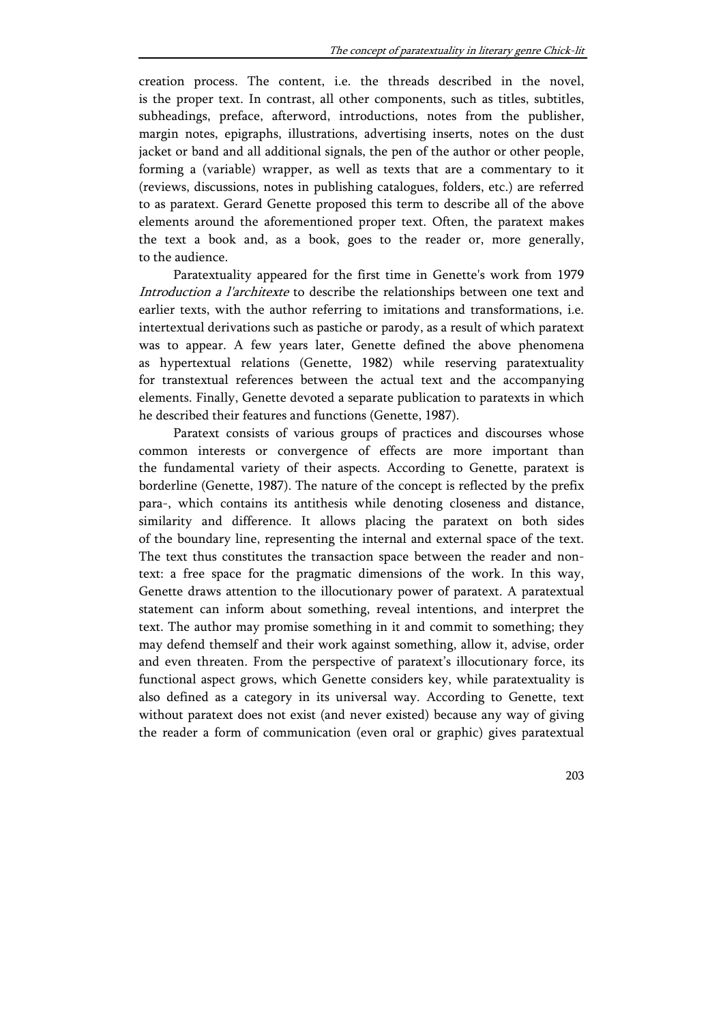creation process. The content, i.e. the threads described in the novel, is the proper text. In contrast, all other components, such as titles, subtitles, subheadings, preface, afterword, introductions, notes from the publisher, margin notes, epigraphs, illustrations, advertising inserts, notes on the dust jacket or band and all additional signals, the pen of the author or other people, forming a (variable) wrapper, as well as texts that are a commentary to it (reviews, discussions, notes in publishing catalogues, folders, etc.) are referred to as paratext. Gerard Genette proposed this term to describe all of the above elements around the aforementioned proper text. Often, the paratext makes the text a book and, as a book, goes to the reader or, more generally, to the audience.

Paratextuality appeared for the first time in Genette's work from 1979 Introduction a l'architexte to describe the relationships between one text and earlier texts, with the author referring to imitations and transformations, i.e. intertextual derivations such as pastiche or parody, as a result of which paratext was to appear. A few years later, Genette defined the above phenomena as hypertextual relations (Genette, 1982) while reserving paratextuality for transtextual references between the actual text and the accompanying elements. Finally, Genette devoted a separate publication to paratexts in which he described their features and functions (Genette, 1987).

Paratext consists of various groups of practices and discourses whose common interests or convergence of effects are more important than the fundamental variety of their aspects. According to Genette, paratext is borderline (Genette, 1987). The nature of the concept is reflected by the prefix para-, which contains its antithesis while denoting closeness and distance, similarity and difference. It allows placing the paratext on both sides of the boundary line, representing the internal and external space of the text. The text thus constitutes the transaction space between the reader and nontext: a free space for the pragmatic dimensions of the work. In this way, Genette draws attention to the illocutionary power of paratext. A paratextual statement can inform about something, reveal intentions, and interpret the text. The author may promise something in it and commit to something; they may defend themself and their work against something, allow it, advise, order and even threaten. From the perspective of paratext's illocutionary force, its functional aspect grows, which Genette considers key, while paratextuality is also defined as a category in its universal way. According to Genette, text without paratext does not exist (and never existed) because any way of giving the reader a form of communication (even oral or graphic) gives paratextual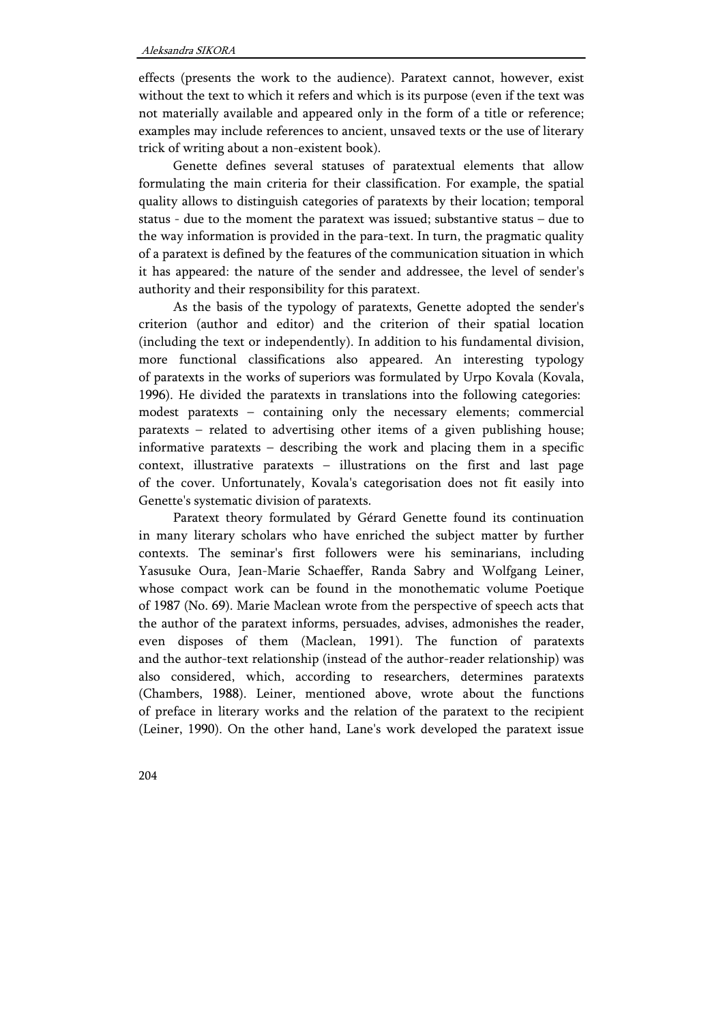effects (presents the work to the audience). Paratext cannot, however, exist without the text to which it refers and which is its purpose (even if the text was not materially available and appeared only in the form of a title or reference; examples may include references to ancient, unsaved texts or the use of literary trick of writing about a non-existent book).

Genette defines several statuses of paratextual elements that allow formulating the main criteria for their classification. For example, the spatial quality allows to distinguish categories of paratexts by their location; temporal status - due to the moment the paratext was issued; substantive status – due to the way information is provided in the para-text. In turn, the pragmatic quality of a paratext is defined by the features of the communication situation in which it has appeared: the nature of the sender and addressee, the level of sender's authority and their responsibility for this paratext.

As the basis of the typology of paratexts, Genette adopted the sender's criterion (author and editor) and the criterion of their spatial location (including the text or independently). In addition to his fundamental division, more functional classifications also appeared. An interesting typology of paratexts in the works of superiors was formulated by Urpo Kovala (Kovala, 1996). He divided the paratexts in translations into the following categories: modest paratexts – containing only the necessary elements; commercial paratexts – related to advertising other items of a given publishing house; informative paratexts – describing the work and placing them in a specific context, illustrative paratexts – illustrations on the first and last page of the cover. Unfortunately, Kovala's categorisation does not fit easily into Genette's systematic division of paratexts.

Paratext theory formulated by Gérard Genette found its continuation in many literary scholars who have enriched the subject matter by further contexts. The seminar's first followers were his seminarians, including Yasusuke Oura, Jean-Marie Schaeffer, Randa Sabry and Wolfgang Leiner, whose compact work can be found in the monothematic volume Poetique of 1987 (No. 69). Marie Maclean wrote from the perspective of speech acts that the author of the paratext informs, persuades, advises, admonishes the reader, even disposes of them (Maclean, 1991). The function of paratexts and the author-text relationship (instead of the author-reader relationship) was also considered, which, according to researchers, determines paratexts (Chambers, 1988). Leiner, mentioned above, wrote about the functions of preface in literary works and the relation of the paratext to the recipient (Leiner, 1990). On the other hand, Lane's work developed the paratext issue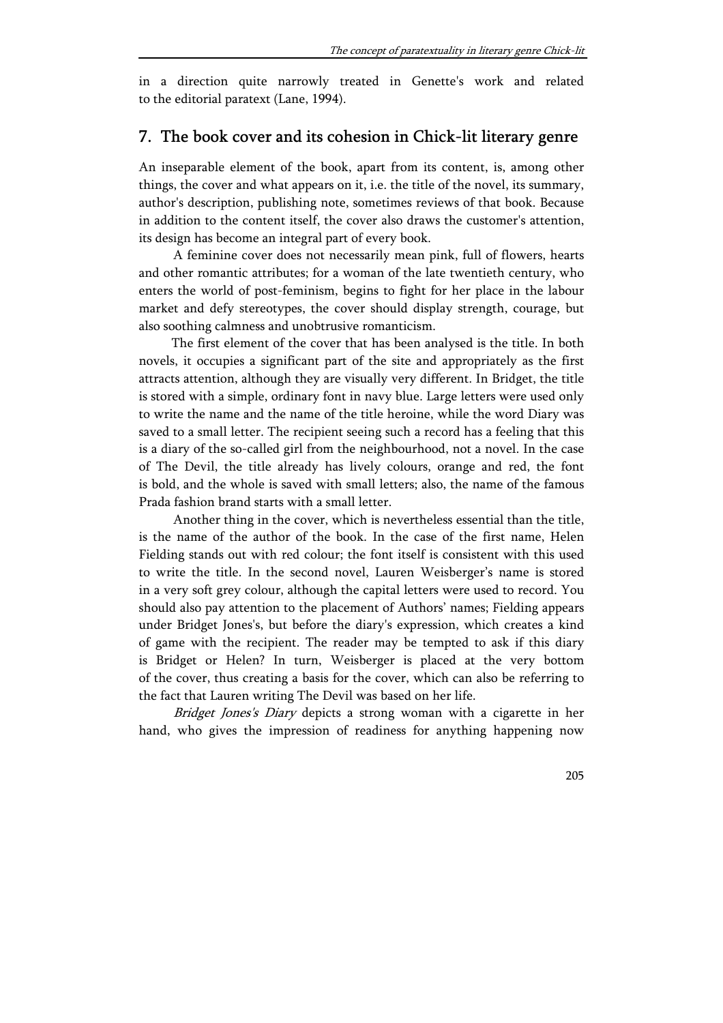in a direction quite narrowly treated in Genette's work and related to the editorial paratext (Lane, 1994).

## 7. The book cover and its cohesion in Chick-lit literary genre

An inseparable element of the book, apart from its content, is, among other things, the cover and what appears on it, i.e. the title of the novel, its summary, author's description, publishing note, sometimes reviews of that book. Because in addition to the content itself, the cover also draws the customer's attention, its design has become an integral part of every book.

A feminine cover does not necessarily mean pink, full of flowers, hearts and other romantic attributes; for a woman of the late twentieth century, who enters the world of post-feminism, begins to fight for her place in the labour market and defy stereotypes, the cover should display strength, courage, but also soothing calmness and unobtrusive romanticism.

The first element of the cover that has been analysed is the title. In both novels, it occupies a significant part of the site and appropriately as the first attracts attention, although they are visually very different. In Bridget, the title is stored with a simple, ordinary font in navy blue. Large letters were used only to write the name and the name of the title heroine, while the word Diary was saved to a small letter. The recipient seeing such a record has a feeling that this is a diary of the so-called girl from the neighbourhood, not a novel. In the case of The Devil, the title already has lively colours, orange and red, the font is bold, and the whole is saved with small letters; also, the name of the famous Prada fashion brand starts with a small letter.

Another thing in the cover, which is nevertheless essential than the title, is the name of the author of the book. In the case of the first name, Helen Fielding stands out with red colour; the font itself is consistent with this used to write the title. In the second novel, Lauren Weisberger's name is stored in a very soft grey colour, although the capital letters were used to record. You should also pay attention to the placement of Authors' names; Fielding appears under Bridget Jones's, but before the diary's expression, which creates a kind of game with the recipient. The reader may be tempted to ask if this diary is Bridget or Helen? In turn, Weisberger is placed at the very bottom of the cover, thus creating a basis for the cover, which can also be referring to the fact that Lauren writing The Devil was based on her life.

Bridget Jones's Diary depicts a strong woman with a cigarette in her hand, who gives the impression of readiness for anything happening now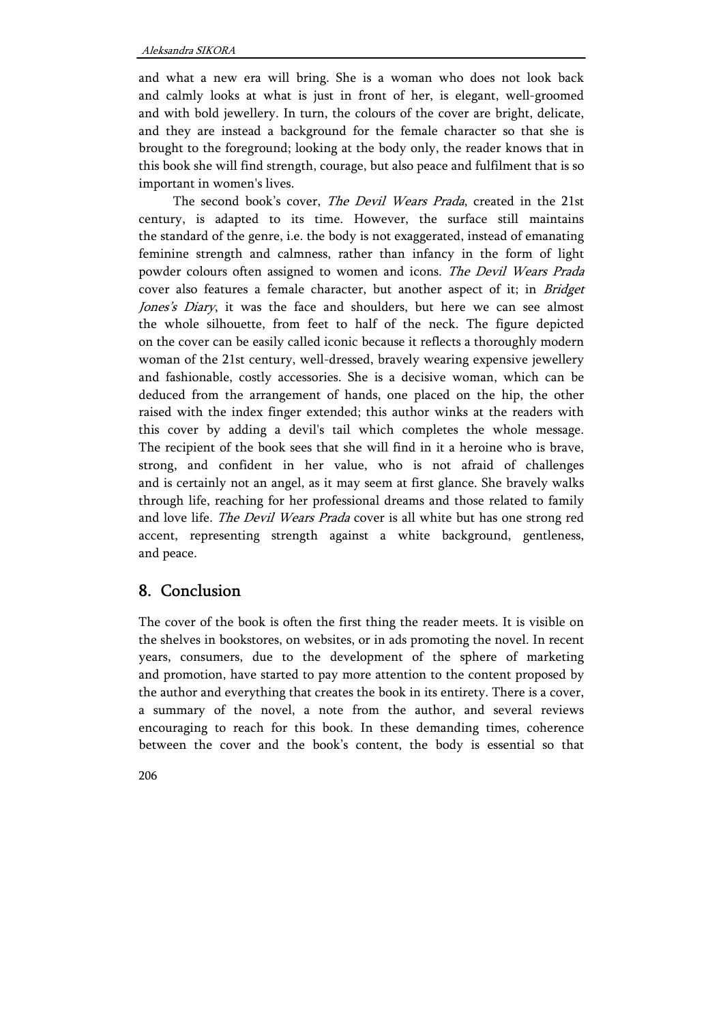and what a new era will bring. She is a woman who does not look back and calmly looks at what is just in front of her, is elegant, well-groomed and with bold jewellery. In turn, the colours of the cover are bright, delicate, and they are instead a background for the female character so that she is brought to the foreground; looking at the body only, the reader knows that in this book she will find strength, courage, but also peace and fulfilment that is so important in women's lives.

The second book's cover, The Devil Wears Prada, created in the 21st century, is adapted to its time. However, the surface still maintains the standard of the genre, i.e. the body is not exaggerated, instead of emanating feminine strength and calmness, rather than infancy in the form of light powder colours often assigned to women and icons. The Devil Wears Prada cover also features a female character, but another aspect of it; in *Bridget* Jones's Diary, it was the face and shoulders, but here we can see almost the whole silhouette, from feet to half of the neck. The figure depicted on the cover can be easily called iconic because it reflects a thoroughly modern woman of the 21st century, well-dressed, bravely wearing expensive jewellery and fashionable, costly accessories. She is a decisive woman, which can be deduced from the arrangement of hands, one placed on the hip, the other raised with the index finger extended; this author winks at the readers with this cover by adding a devil's tail which completes the whole message. The recipient of the book sees that she will find in it a heroine who is brave, strong, and confident in her value, who is not afraid of challenges and is certainly not an angel, as it may seem at first glance. She bravely walks through life, reaching for her professional dreams and those related to family and love life. The Devil Wears Prada cover is all white but has one strong red accent, representing strength against a white background, gentleness, and peace.

# 8. Conclusion

The cover of the book is often the first thing the reader meets. It is visible on the shelves in bookstores, on websites, or in ads promoting the novel. In recent years, consumers, due to the development of the sphere of marketing and promotion, have started to pay more attention to the content proposed by the author and everything that creates the book in its entirety. There is a cover, a summary of the novel, a note from the author, and several reviews encouraging to reach for this book. In these demanding times, coherence between the cover and the book's content, the body is essential so that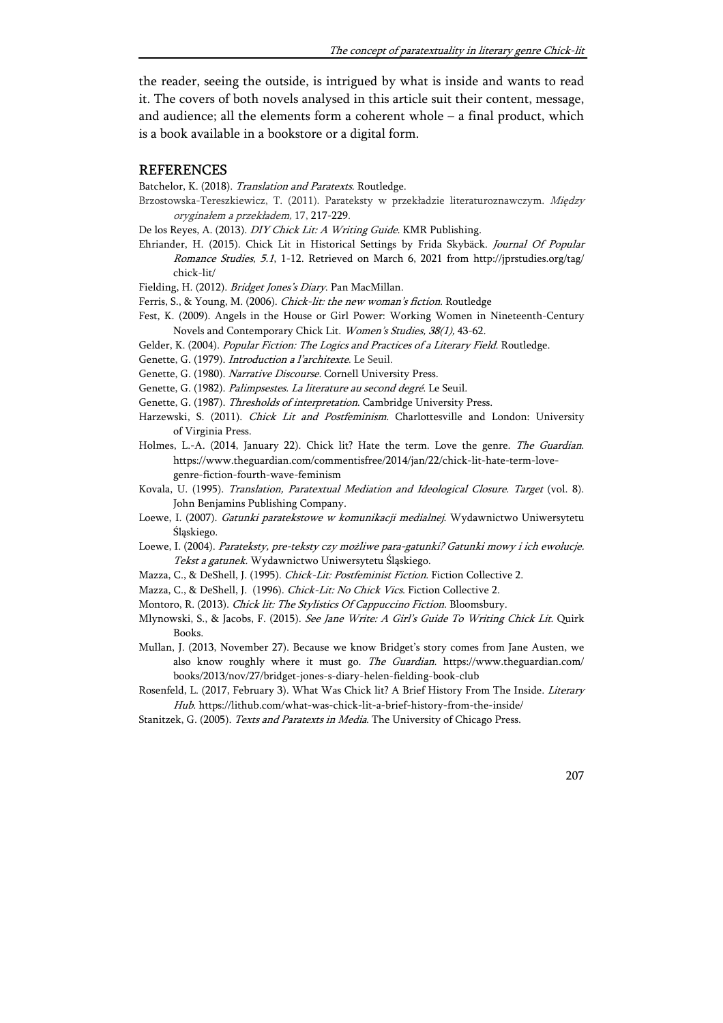the reader, seeing the outside, is intrigued by what is inside and wants to read it. The covers of both novels analysed in this article suit their content, message, and audience; all the elements form a coherent whole – a final product, which is a book available in a bookstore or a digital form.

### REFERENCES

Batchelor, K. (2018). Translation and Paratexts. Routledge.

- Brzostowska-Tereszkiewicz, T. (2011). Parateksty w przekładzie literaturoznawczym. Między oryginałem a przekładem, 17, 217-229.
- De los Reyes, A. (2013). DIY Chick Lit: A Writing Guide. KMR Publishing.
- Ehriander, H. (2015). Chick Lit in Historical Settings by Frida Skybäck. Journal Of Popular Romance Studies, 5.1, 1-12. Retrieved on March 6, 2021 from http://jprstudies.org/tag/ chick-lit/

Fielding, H. (2012). Bridget Jones's Diary. Pan MacMillan.

- Ferris, S., & Young, M. (2006). Chick-lit: the new woman's fiction. Routledge
- Fest, K. (2009). Angels in the House or Girl Power: Working Women in Nineteenth-Century Novels and Contemporary Chick Lit. Women's Studies, 38(1), 43-62.
- Gelder, K. (2004). Popular Fiction: The Logics and Practices of a Literary Field. Routledge.
- Genette, G. (1979). Introduction a l'architexte. Le Seuil.
- Genette, G. (1980). Narrative Discourse. Cornell University Press.
- Genette, G. (1982). Palimpsestes. La literature au second degré. Le Seuil.
- Genette, G. (1987). Thresholds of interpretation. Cambridge University Press.
- Harzewski, S. (2011). Chick Lit and Postfeminism. Charlottesville and London: University of Virginia Press.
- Holmes, L.-A. (2014, January 22). Chick lit? Hate the term. Love the genre. The Guardian. https://www.theguardian.com/commentisfree/2014/jan/22/chick-lit-hate-term-lovegenre-fiction-fourth-wave-feminism
- Kovala, U. (1995). Translation, Paratextual Mediation and Ideological Closure. Target (vol. 8). John Benjamins Publishing Company.
- Loewe, I. (2007). Gatunki paratekstowe w komunikacji medialnej. Wydawnictwo Uniwersytetu Śląskiego.
- Loewe, I. (2004). Parateksty, pre-teksty czy możliwe para-gatunki? Gatunki mowy i ich ewolucje. Tekst a gatunek. Wydawnictwo Uniwersytetu Śląskiego.
- Mazza, C., & DeShell, J. (1995). Chick-Lit: Postfeminist Fiction. Fiction Collective 2.
- Mazza, C., & DeShell, J. (1996). Chick-Lit: No Chick Vics. Fiction Collective 2.
- Montoro, R. (2013). Chick lit: The Stylistics Of Cappuccino Fiction. Bloomsbury.
- Mlynowski, S., & Jacobs, F. (2015). See Jane Write: A Girl's Guide To Writing Chick Lit. Quirk Books.
- Mullan, J. (2013, November 27). Because we know Bridget's story comes from Jane Austen, we also know roughly where it must go. The Guardian. https://www.theguardian.com/ books/2013/nov/27/bridget-jones-s-diary-helen-fielding-book-club
- Rosenfeld, L. (2017, February 3). What Was Chick lit? A Brief History From The Inside. Literary Hub. https://lithub.com/what-was-chick-lit-a-brief-history-from-the-inside/
- Stanitzek, G. (2005). Texts and Paratexts in Media. The University of Chicago Press.